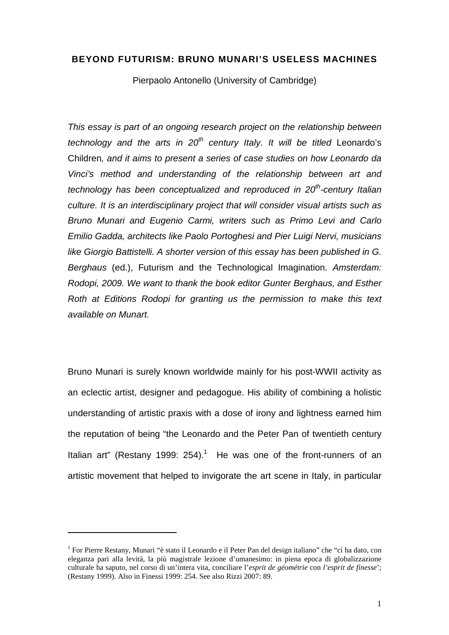## **BEYOND FUTURISM: BRUNO MUNARI'S USELESS MACHINES**

Pierpaolo Antonello (University of Cambridge)

This essay is part of an ongoing research project on the relationship between technology and the arts in  $20^{th}$  century Italy. It will be titled Leonardo's Children, and it aims to present a series of case studies on how Leonardo da Vinci's method and understanding of the relationship between art and technology has been conceptualized and reproduced in  $20<sup>th</sup>$ -century Italian culture. It is an interdisciplinary project that will consider visual artists such as Bruno Munari and Eugenio Carmi, writers such as Primo Levi and Carlo Emilio Gadda, architects like Paolo Portoghesi and Pier Luigi Nervi, musicians like Giorgio Battistelli. A shorter version of this essay has been published in G. Berghaus (ed.), Futurism and the Technological Imagination. Amsterdam: Rodopi, 2009. We want to thank the book editor Gunter Berghaus, and Esther Roth at Editions Rodopi for granting us the permission to make this text available on Munart.

Bruno Munari is surely known worldwide mainly for his post-WWII activity as an eclectic artist, designer and pedagogue. His ability of combining a holistic understanding of artistic praxis with a dose of irony and lightness earned him the reputation of being "the Leonardo and the Peter Pan of twentieth century Italian art" (Restany 1999: 254).<sup>1</sup> He was one of the front-runners of an artistic movement that helped to invigorate the art scene in Italy, in particular

<sup>&</sup>lt;sup>1</sup> For Pierre Restany, Munari "è stato il Leonardo e il Peter Pan del design italiano" che "ci ha dato, con eleganza pari alla levità, la più magistrale lezione d'umanesimo: in piena epoca di globalizzazione culturale ha saputo, nel corso di un'intera vita, conciliare l'*esprit de géométrie* con *l'esprit de finesse*'; (Restany 1999). Also in Finessi 1999: 254. See also Rizzi 2007: 89.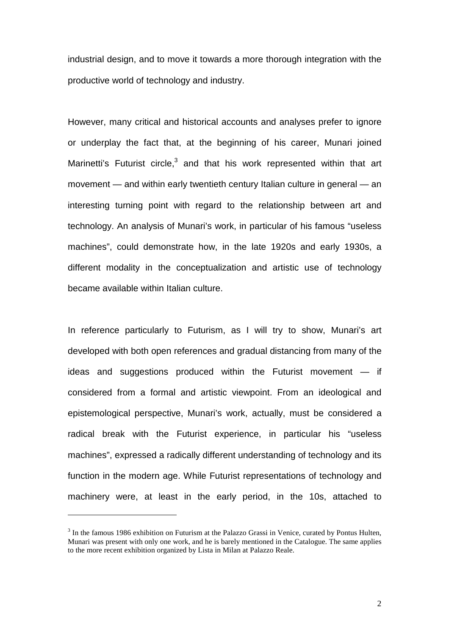industrial design, and to move it towards a more thorough integration with the productive world of technology and industry.

However, many critical and historical accounts and analyses prefer to ignore or underplay the fact that, at the beginning of his career, Munari joined Marinetti's Futurist circle, $3$  and that his work represented within that art movement — and within early twentieth century Italian culture in general — an interesting turning point with regard to the relationship between art and technology. An analysis of Munari's work, in particular of his famous "useless machines", could demonstrate how, in the late 1920s and early 1930s, a different modality in the conceptualization and artistic use of technology became available within Italian culture.

In reference particularly to Futurism, as I will try to show, Munari's art developed with both open references and gradual distancing from many of the ideas and suggestions produced within the Futurist movement — if considered from a formal and artistic viewpoint. From an ideological and epistemological perspective, Munari's work, actually, must be considered a radical break with the Futurist experience, in particular his "useless machines", expressed a radically different understanding of technology and its function in the modern age. While Futurist representations of technology and machinery were, at least in the early period, in the 10s, attached to

<sup>&</sup>lt;sup>3</sup> In the famous 1986 exhibition on Futurism at the Palazzo Grassi in Venice, curated by Pontus Hulten, Munari was present with only one work, and he is barely mentioned in the Catalogue. The same applies to the more recent exhibition organized by Lista in Milan at Palazzo Reale.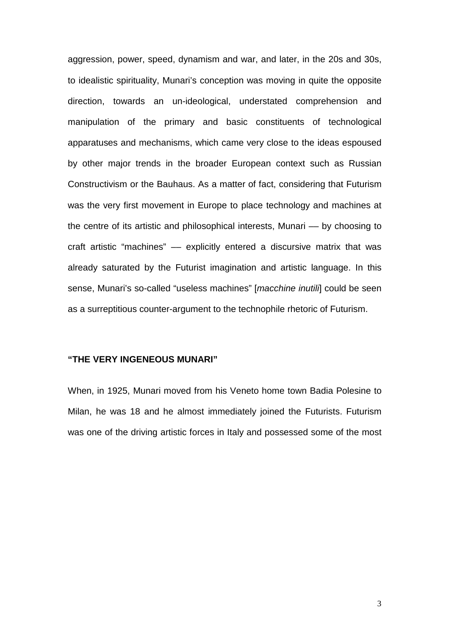aggression, power, speed, dynamism and war, and later, in the 20s and 30s, to idealistic spirituality, Munari's conception was moving in quite the opposite direction, towards an un-ideological, understated comprehension and manipulation of the primary and basic constituents of technological apparatuses and mechanisms, which came very close to the ideas espoused by other major trends in the broader European context such as Russian Constructivism or the Bauhaus. As a matter of fact, considering that Futurism was the very first movement in Europe to place technology and machines at the centre of its artistic and philosophical interests, Munari –– by choosing to craft artistic "machines" –– explicitly entered a discursive matrix that was already saturated by the Futurist imagination and artistic language. In this sense, Munari's so-called "useless machines" [macchine inutili] could be seen as a surreptitious counter-argument to the technophile rhetoric of Futurism.

## **"THE VERY INGENEOUS MUNARI"**

When, in 1925, Munari moved from his Veneto home town Badia Polesine to Milan, he was 18 and he almost immediately joined the Futurists. Futurism was one of the driving artistic forces in Italy and possessed some of the most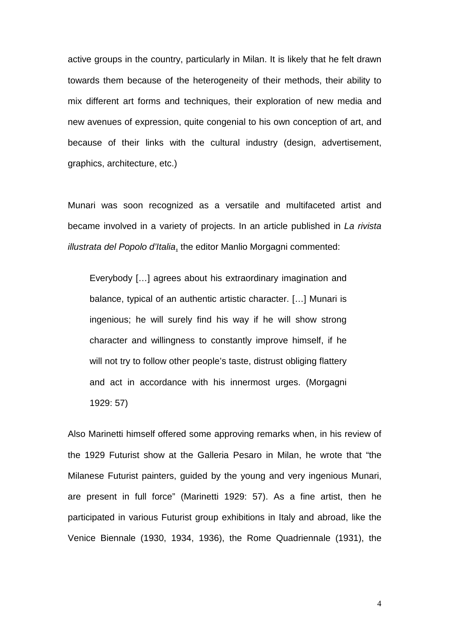active groups in the country, particularly in Milan. It is likely that he felt drawn towards them because of the heterogeneity of their methods, their ability to mix different art forms and techniques, their exploration of new media and new avenues of expression, quite congenial to his own conception of art, and because of their links with the cultural industry (design, advertisement, graphics, architecture, etc.)

Munari was soon recognized as a versatile and multifaceted artist and became involved in a variety of projects. In an article published in La rivista illustrata del Popolo d'Italia, the editor Manlio Morgagni commented:

Everybody […] agrees about his extraordinary imagination and balance, typical of an authentic artistic character. […] Munari is ingenious; he will surely find his way if he will show strong character and willingness to constantly improve himself, if he will not try to follow other people's taste, distrust obliging flattery and act in accordance with his innermost urges. (Morgagni 1929: 57)

Also Marinetti himself offered some approving remarks when, in his review of the 1929 Futurist show at the Galleria Pesaro in Milan, he wrote that "the Milanese Futurist painters, guided by the young and very ingenious Munari, are present in full force" (Marinetti 1929: 57). As a fine artist, then he participated in various Futurist group exhibitions in Italy and abroad, like the Venice Biennale (1930, 1934, 1936), the Rome Quadriennale (1931), the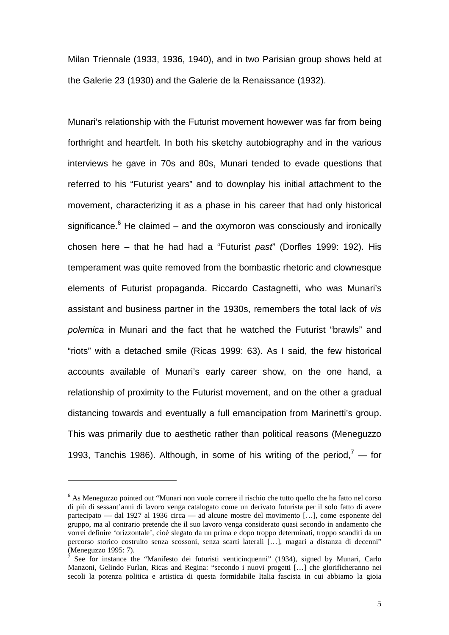Milan Triennale (1933, 1936, 1940), and in two Parisian group shows held at the Galerie 23 (1930) and the Galerie de la Renaissance (1932).

Munari's relationship with the Futurist movement howewer was far from being forthright and heartfelt. In both his sketchy autobiography and in the various interviews he gave in 70s and 80s, Munari tended to evade questions that referred to his "Futurist years" and to downplay his initial attachment to the movement, characterizing it as a phase in his career that had only historical significance.<sup>6</sup> He claimed – and the oxymoron was consciously and ironically chosen here – that he had had a "Futurist past" (Dorfles 1999: 192). His temperament was quite removed from the bombastic rhetoric and clownesque elements of Futurist propaganda. Riccardo Castagnetti, who was Munari's assistant and business partner in the 1930s, remembers the total lack of vis polemica in Munari and the fact that he watched the Futurist "brawls" and "riots" with a detached smile (Ricas 1999: 63). As I said, the few historical accounts available of Munari's early career show, on the one hand, a relationship of proximity to the Futurist movement, and on the other a gradual distancing towards and eventually a full emancipation from Marinetti's group. This was primarily due to aesthetic rather than political reasons (Meneguzzo 1993, Tanchis 1986). Although, in some of his writing of the period,<sup>7</sup> — for

<sup>6</sup> As Meneguzzo pointed out "Munari non vuole correre il rischio che tutto quello che ha fatto nel corso di più di sessant'anni di lavoro venga catalogato come un derivato futurista per il solo fatto di avere partecipato — dal 1927 al 1936 circa — ad alcune mostre del movimento […], come esponente del gruppo, ma al contrario pretende che il suo lavoro venga considerato quasi secondo in andamento che vorrei definire 'orizzontale', cioè slegato da un prima e dopo troppo determinati, troppo scanditi da un percorso storico costruito senza scossoni, senza scarti laterali […], magari a distanza di decenni" (Meneguzzo 1995: 7).

See for instance the "Manifesto dei futuristi venticinquenni" (1934), signed by Munari, Carlo Manzoni, Gelindo Furlan, Ricas and Regina: "secondo i nuovi progetti […] che glorificheranno nei secoli la potenza politica e artistica di questa formidabile Italia fascista in cui abbiamo la gioia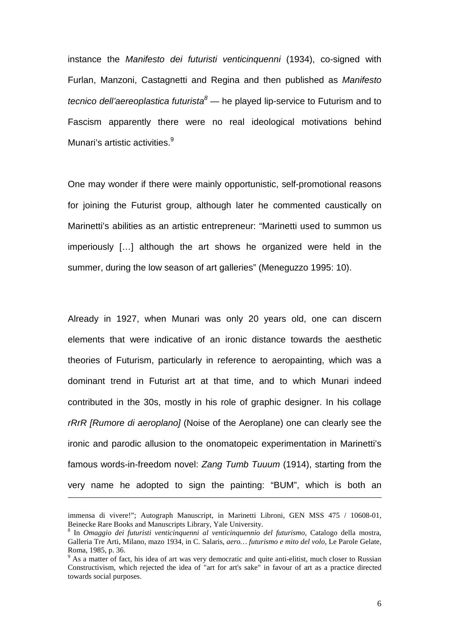instance the Manifesto dei futuristi venticinquenni (1934), co-signed with Furlan, Manzoni, Castagnetti and Regina and then published as Manifesto tecnico dell'aereoplastica futurista<sup>8</sup> — he played lip-service to Futurism and to Fascism apparently there were no real ideological motivations behind Munari's artistic activities.<sup>9</sup>

One may wonder if there were mainly opportunistic, self-promotional reasons for joining the Futurist group, although later he commented caustically on Marinetti's abilities as an artistic entrepreneur: "Marinetti used to summon us imperiously […] although the art shows he organized were held in the summer, during the low season of art galleries" (Meneguzzo 1995: 10).

Already in 1927, when Munari was only 20 years old, one can discern elements that were indicative of an ironic distance towards the aesthetic theories of Futurism, particularly in reference to aeropainting, which was a dominant trend in Futurist art at that time, and to which Munari indeed contributed in the 30s, mostly in his role of graphic designer. In his collage rRrR [Rumore di aeroplano] (Noise of the Aeroplane) one can clearly see the ironic and parodic allusion to the onomatopeic experimentation in Marinetti's famous words-in-freedom novel: Zang Tumb Tuuum (1914), starting from the very name he adopted to sign the painting: "BUM", which is both an

-

immensa di vivere!"; Autograph Manuscript, in Marinetti Libroni, GEN MSS 475 / 10608-01, Beinecke Rare Books and Manuscripts Library, Yale University.

<sup>8</sup> In *Omaggio dei futuristi venticinquenni al venticinquennio del futurismo*, Catalogo della mostra, Galleria Tre Arti, Milano, mazo 1934, in C. Salaris, *aero… futurismo e mito del volo*, Le Parole Gelate, Roma, 1985, p. 36.

<sup>&</sup>lt;sup>9</sup> As a matter of fact, his idea of art was very democratic and quite anti-elitist, much closer to Russian Constructivism, which rejected the idea of "art for art's sake" in favour of art as a practice directed towards social purposes.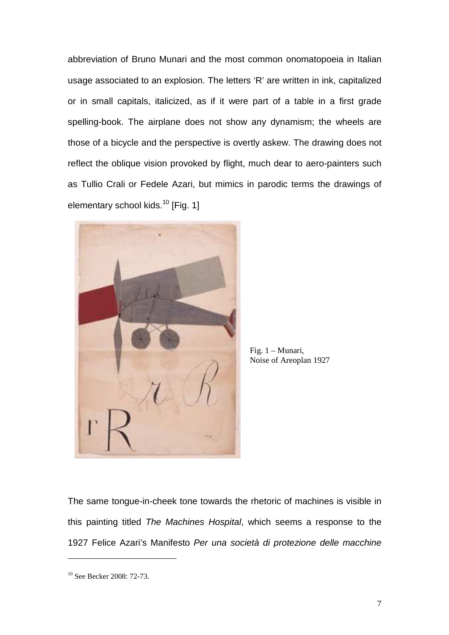abbreviation of Bruno Munari and the most common onomatopoeia in Italian usage associated to an explosion. The letters 'R' are written in ink, capitalized or in small capitals, italicized, as if it were part of a table in a first grade spelling-book. The airplane does not show any dynamism; the wheels are those of a bicycle and the perspective is overtly askew. The drawing does not reflect the oblique vision provoked by flight, much dear to aero-painters such as Tullio Crali or Fedele Azari, but mimics in parodic terms the drawings of elementary school kids.<sup>10</sup> [Fig. 1]



Fig. 1 – Munari, Noise of Areoplan 1927

The same tongue-in-cheek tone towards the rhetoric of machines is visible in this painting titled The Machines Hospital, which seems a response to the 1927 Felice Azari's Manifesto Per una società di protezione delle macchine

<sup>&</sup>lt;sup>10</sup> See Becker 2008: 72-73.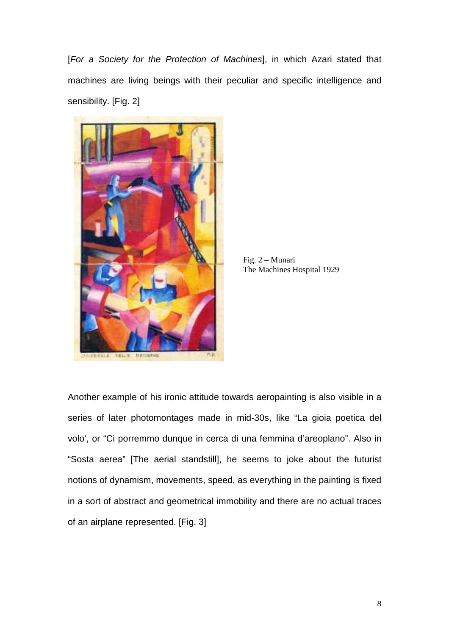[For a Society for the Protection of Machines], in which Azari stated that machines are living beings with their peculiar and specific intelligence and sensibility. [Fig. 2]



Fig. 2 – Munari The Machines Hospital 1929

Another example of his ironic attitude towards aeropainting is also visible in a series of later photomontages made in mid-30s, like "La gioia poetica del volo', or "Ci porremmo dunque in cerca di una femmina d'areoplano". Also in "Sosta aerea" [The aerial standstill], he seems to joke about the futurist notions of dynamism, movements, speed, as everything in the painting is fixed in a sort of abstract and geometrical immobility and there are no actual traces of an airplane represented. [Fig. 3]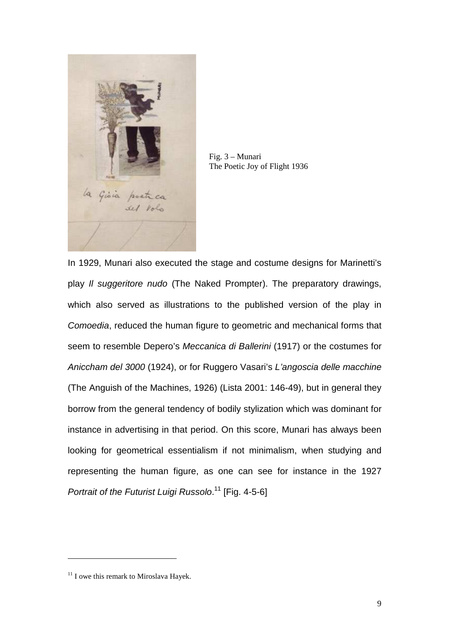

Fig. 3 – Munari The Poetic Joy of Flight 1936

In 1929, Munari also executed the stage and costume designs for Marinetti's play Il suggeritore nudo (The Naked Prompter). The preparatory drawings, which also served as illustrations to the published version of the play in Comoedia, reduced the human figure to geometric and mechanical forms that seem to resemble Depero's Meccanica di Ballerini (1917) or the costumes for Aniccham del 3000 (1924), or for Ruggero Vasari's L'angoscia delle macchine (The Anguish of the Machines, 1926) (Lista 2001: 146-49), but in general they borrow from the general tendency of bodily stylization which was dominant for instance in advertising in that period. On this score, Munari has always been looking for geometrical essentialism if not minimalism, when studying and representing the human figure, as one can see for instance in the 1927 Portrait of the Futurist Luigi Russolo.<sup>11</sup> [Fig. 4-5-6]

 $11$  I owe this remark to Miroslava Hayek.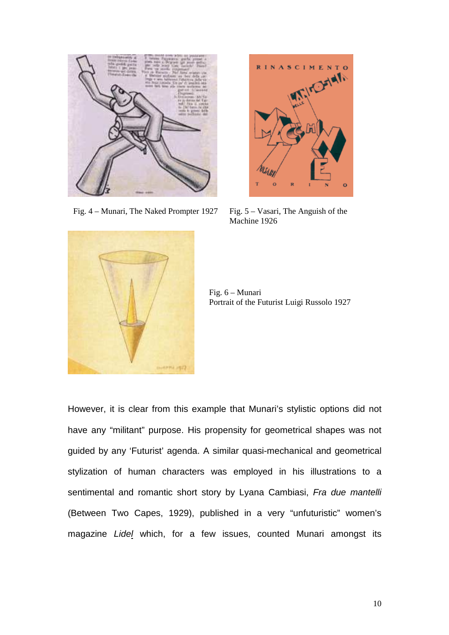

Fig.  $4 -$  Munari, The Naked Prompter 1927 Fig.  $5 -$  Vasari, The Anguish of the



Machine 1926



Fig. 6 – Munari Portrait of the Futurist Luigi Russolo 1927

However, it is clear from this example that Munari's stylistic options did not have any "militant" purpose. His propensity for geometrical shapes was not guided by any 'Futurist' agenda. A similar quasi-mechanical and geometrical stylization of human characters was employed in his illustrations to a sentimental and romantic short story by Lyana Cambiasi, Fra due mantelli (Between Two Capes, 1929), published in a very "unfuturistic" women's magazine Lidel which, for a few issues, counted Munari amongst its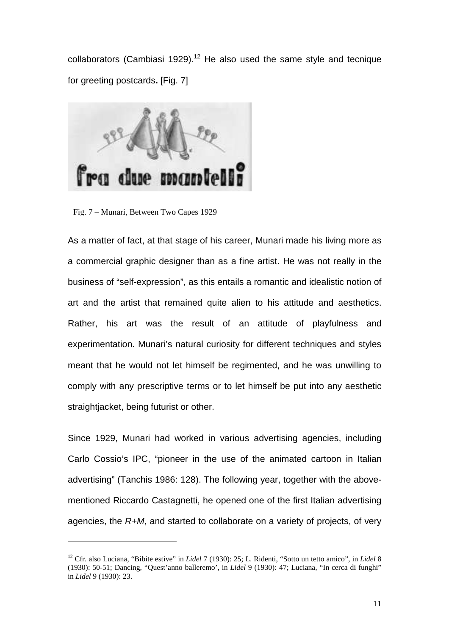collaborators (Cambiasi 1929).<sup>12</sup> He also used the same style and tecnique for greeting postcards**.** [Fig. 7]



Fig. 7 – Munari, Between Two Capes 1929

 $\overline{a}$ 

As a matter of fact, at that stage of his career, Munari made his living more as a commercial graphic designer than as a fine artist. He was not really in the business of "self-expression", as this entails a romantic and idealistic notion of art and the artist that remained quite alien to his attitude and aesthetics. Rather, his art was the result of an attitude of playfulness and experimentation. Munari's natural curiosity for different techniques and styles meant that he would not let himself be regimented, and he was unwilling to comply with any prescriptive terms or to let himself be put into any aesthetic straightjacket, being futurist or other.

Since 1929, Munari had worked in various advertising agencies, including Carlo Cossio's IPC, "pioneer in the use of the animated cartoon in Italian advertising" (Tanchis 1986: 128). The following year, together with the abovementioned Riccardo Castagnetti, he opened one of the first Italian advertising agencies, the R+M, and started to collaborate on a variety of projects, of very

<sup>12</sup> Cfr. also Luciana, "Bibite estive" in *Lidel* 7 (1930): 25; L. Ridenti, "Sotto un tetto amico", in *Lidel* 8 (1930): 50-51; Dancing, "Quest'anno balleremo', in *Lidel* 9 (1930): 47; Luciana, "In cerca di funghi" in *Lidel* 9 (1930): 23.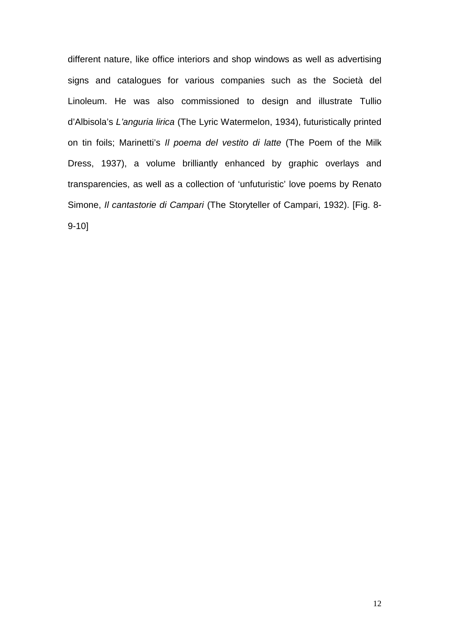different nature, like office interiors and shop windows as well as advertising signs and catalogues for various companies such as the Società del Linoleum. He was also commissioned to design and illustrate Tullio d'Albisola's L'anguria lirica (The Lyric Watermelon, 1934), futuristically printed on tin foils; Marinetti's Il poema del vestito di latte (The Poem of the Milk Dress, 1937), a volume brilliantly enhanced by graphic overlays and transparencies, as well as a collection of 'unfuturistic' love poems by Renato Simone, Il cantastorie di Campari (The Storyteller of Campari, 1932). [Fig. 8- 9-10]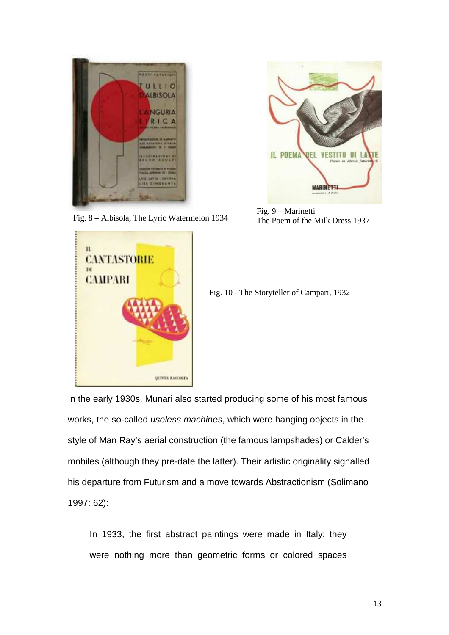

Fig. 8 – Albisola, The Lyric Watermelon 1934



Fig. 9 – Marinetti The Poem of the Milk Dress 1937



Fig. 10 - The Storyteller of Campari, 1932

In the early 1930s, Munari also started producing some of his most famous works, the so-called useless machines, which were hanging objects in the style of Man Ray's aerial construction (the famous lampshades) or Calder's mobiles (although they pre-date the latter). Their artistic originality signalled his departure from Futurism and a move towards Abstractionism (Solimano 1997: 62):

In 1933, the first abstract paintings were made in Italy; they were nothing more than geometric forms or colored spaces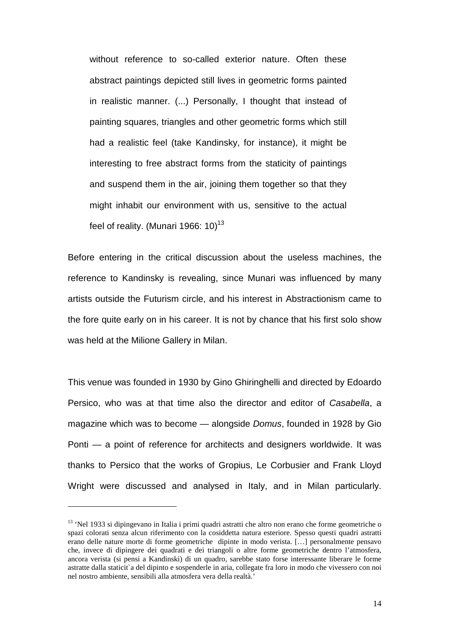without reference to so-called exterior nature. Often these abstract paintings depicted still lives in geometric forms painted in realistic manner. (...) Personally, I thought that instead of painting squares, triangles and other geometric forms which still had a realistic feel (take Kandinsky, for instance), it might be interesting to free abstract forms from the staticity of paintings and suspend them in the air, joining them together so that they might inhabit our environment with us, sensitive to the actual feel of reality. (Munari 1966: 10)<sup>13</sup>

Before entering in the critical discussion about the useless machines, the reference to Kandinsky is revealing, since Munari was influenced by many artists outside the Futurism circle, and his interest in Abstractionism came to the fore quite early on in his career. It is not by chance that his first solo show was held at the Milione Gallery in Milan.

This venue was founded in 1930 by Gino Ghiringhelli and directed by Edoardo Persico, who was at that time also the director and editor of Casabella, a magazine which was to become — alongside Domus, founded in 1928 by Gio Ponti — a point of reference for architects and designers worldwide. It was thanks to Persico that the works of Gropius, Le Corbusier and Frank Lloyd Wright were discussed and analysed in Italy, and in Milan particularly.

<sup>&</sup>lt;sup>13</sup> 'Nel 1933 si dipingevano in Italia i primi quadri astratti che altro non erano che forme geometriche o spazi colorati senza alcun riferimento con la cosiddetta natura esteriore. Spesso questi quadri astratti erano delle nature morte di forme geometriche dipinte in modo verista. […] personalmente pensavo che, invece di dipingere dei quadrati e dei triangoli o altre forme geometriche dentro l'atmosfera, ancora verista (si pensi a Kandinski) di un quadro, sarebbe stato forse interessante liberare le forme astratte dalla staticit`a del dipinto e sospenderle in aria, collegate fra loro in modo che vivessero con noi nel nostro ambiente, sensibili alla atmosfera vera della realtà.'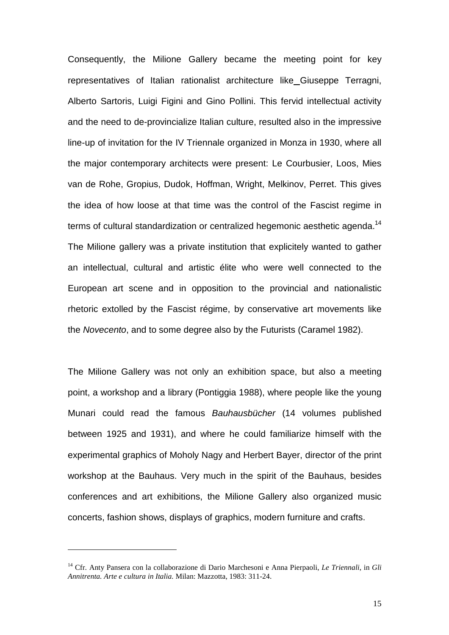Consequently, the Milione Gallery became the meeting point for key representatives of Italian rationalist architecture like Giuseppe Terragni, Alberto Sartoris, Luigi Figini and Gino Pollini. This fervid intellectual activity and the need to de-provincialize Italian culture, resulted also in the impressive line-up of invitation for the IV Triennale organized in Monza in 1930, where all the major contemporary architects were present: Le Courbusier, Loos, Mies van de Rohe, Gropius, Dudok, Hoffman, Wright, Melkinov, Perret. This gives the idea of how loose at that time was the control of the Fascist regime in terms of cultural standardization or centralized hegemonic aesthetic agenda.<sup>14</sup> The Milione gallery was a private institution that explicitely wanted to gather an intellectual, cultural and artistic élite who were well connected to the European art scene and in opposition to the provincial and nationalistic rhetoric extolled by the Fascist régime, by conservative art movements like the Novecento, and to some degree also by the Futurists (Caramel 1982).

The Milione Gallery was not only an exhibition space, but also a meeting point, a workshop and a library (Pontiggia 1988), where people like the young Munari could read the famous Bauhausbücher (14 volumes published between 1925 and 1931), and where he could familiarize himself with the experimental graphics of Moholy Nagy and Herbert Bayer, director of the print workshop at the Bauhaus. Very much in the spirit of the Bauhaus, besides conferences and art exhibitions, the Milione Gallery also organized music concerts, fashion shows, displays of graphics, modern furniture and crafts.

<sup>14</sup> Cfr. Anty Pansera con la collaborazione di Dario Marchesoni e Anna Pierpaoli, *Le Triennali*, in *Gli Annitrenta. Arte e cultura in Italia.* Milan: Mazzotta, 1983: 311-24.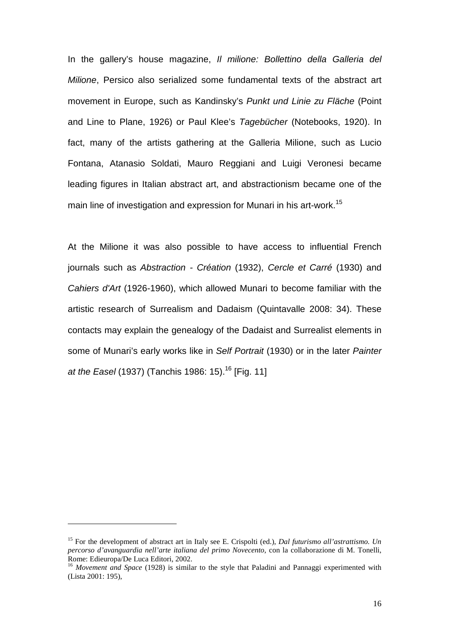In the gallery's house magazine, *Il milione: Bollettino della Galleria del* Milione, Persico also serialized some fundamental texts of the abstract art movement in Europe, such as Kandinsky's Punkt und Linie zu Fläche (Point and Line to Plane, 1926) or Paul Klee's Tagebücher (Notebooks, 1920). In fact, many of the artists gathering at the Galleria Milione, such as Lucio Fontana, Atanasio Soldati, Mauro Reggiani and Luigi Veronesi became leading figures in Italian abstract art, and abstractionism became one of the main line of investigation and expression for Munari in his art-work.<sup>15</sup>

At the Milione it was also possible to have access to influential French journals such as Abstraction - Création (1932), Cercle et Carré (1930) and Cahiers d'Art (1926-1960), which allowed Munari to become familiar with the artistic research of Surrealism and Dadaism (Quintavalle 2008: 34). These contacts may explain the genealogy of the Dadaist and Surrealist elements in some of Munari's early works like in Self Portrait (1930) or in the later Painter at the Easel (1937) (Tanchis 1986: 15).<sup>16</sup> [Fig. 11]

<sup>15</sup> For the development of abstract art in Italy see E. Crispolti (ed.), *Dal futurismo all'astrattismo. Un percorso d'avanguardia nell'arte italiana del primo Novecento*, con la collaborazione di M. Tonelli, Rome: Edieuropa/De Luca Editori, 2002.

<sup>&</sup>lt;sup>16</sup> *Movement and Space* (1928) is similar to the style that Paladini and Pannaggi experimented with (Lista 2001: 195),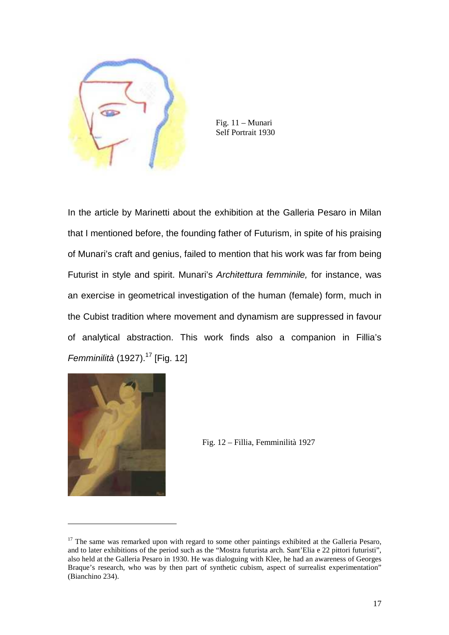

Fig. 11 – Munari Self Portrait 1930

In the article by Marinetti about the exhibition at the Galleria Pesaro in Milan that I mentioned before, the founding father of Futurism, in spite of his praising of Munari's craft and genius, failed to mention that his work was far from being Futurist in style and spirit. Munari's Architettura femminile, for instance, was an exercise in geometrical investigation of the human (female) form, much in the Cubist tradition where movement and dynamism are suppressed in favour of analytical abstraction. This work finds also a companion in Fillia's Femminilità (1927). $17$  [Fig. 12]



Fig. 12 – Fillia, Femminilità 1927

 $17$  The same was remarked upon with regard to some other paintings exhibited at the Galleria Pesaro, and to later exhibitions of the period such as the "Mostra futurista arch. Sant'Elia e 22 pittori futuristi", also held at the Galleria Pesaro in 1930. He was dialoguing with Klee, he had an awareness of Georges Braque's research, who was by then part of synthetic cubism, aspect of surrealist experimentation" (Bianchino 234).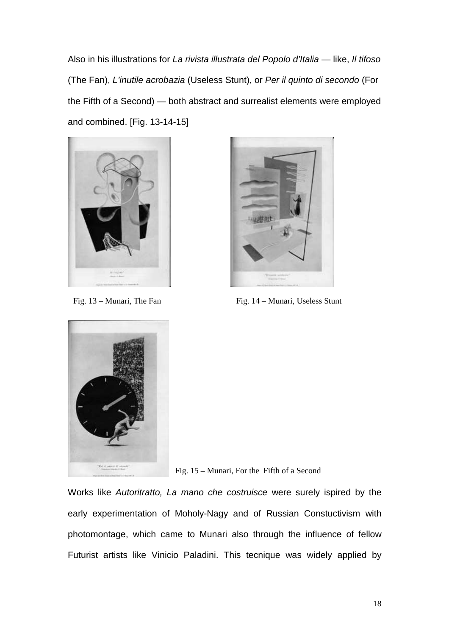Also in his illustrations for La rivista illustrata del Popolo d'Italia — like, Il tifoso (The Fan), L'inutile acrobazia (Useless Stunt), or Per il quinto di secondo (For the Fifth of a Second) — both abstract and surrealist elements were employed and combined. [Fig. 13-14-15]





Fig. 13 – Munari, The Fan Fig. 14 – Munari, Useless Stunt



Fig. 15 – Munari, For the Fifth of a Second

Works like Autoritratto, La mano che costruisce were surely ispired by the early experimentation of Moholy-Nagy and of Russian Constuctivism with photomontage, which came to Munari also through the influence of fellow Futurist artists like Vinicio Paladini. This tecnique was widely applied by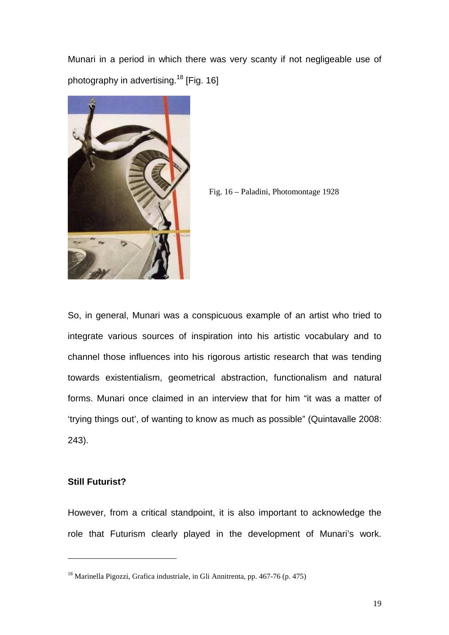Munari in a period in which there was very scanty if not negligeable use of photography in advertising.<sup>18</sup> [Fig. 16]





So, in general, Munari was a conspicuous example of an artist who tried to integrate various sources of inspiration into his artistic vocabulary and to channel those influences into his rigorous artistic research that was tending towards existentialism, geometrical abstraction, functionalism and natural forms. Munari once claimed in an interview that for him "it was a matter of 'trying things out', of wanting to know as much as possible" (Quintavalle 2008: 243).

## **Still Futurist?**

 $\overline{a}$ 

However, from a critical standpoint, it is also important to acknowledge the role that Futurism clearly played in the development of Munari's work.

<sup>&</sup>lt;sup>18</sup> Marinella Pigozzi, Grafica industriale, in Gli Annitrenta, pp. 467-76 (p. 475)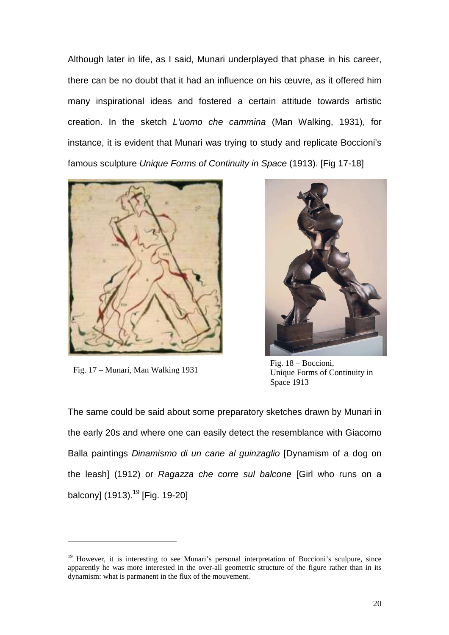Although later in life, as I said, Munari underplayed that phase in his career, there can be no doubt that it had an influence on his œuvre, as it offered him many inspirational ideas and fostered a certain attitude towards artistic creation. In the sketch L'uomo che cammina (Man Walking, 1931), for instance, it is evident that Munari was trying to study and replicate Boccioni's famous sculpture Unique Forms of Continuity in Space (1913). [Fig 17-18]



Fig. 17 – Munari, Man Walking 1931

 $\overline{a}$ 



Fig. 18 – Boccioni, Unique Forms of Continuity in Space 1913

The same could be said about some preparatory sketches drawn by Munari in the early 20s and where one can easily detect the resemblance with Giacomo Balla paintings Dinamismo di un cane al guinzaglio [Dynamism of a dog on the leash] (1912) or Ragazza che corre sul balcone [Girl who runs on a balcony]  $(1913).^{19}$  [Fig. 19-20]

<sup>&</sup>lt;sup>19</sup> However, it is interesting to see Munari's personal interpretation of Boccioni's sculpure, since apparently he was more interested in the over-all geometric structure of the figure rather than in its dynamism: what is parmanent in the flux of the mouvement.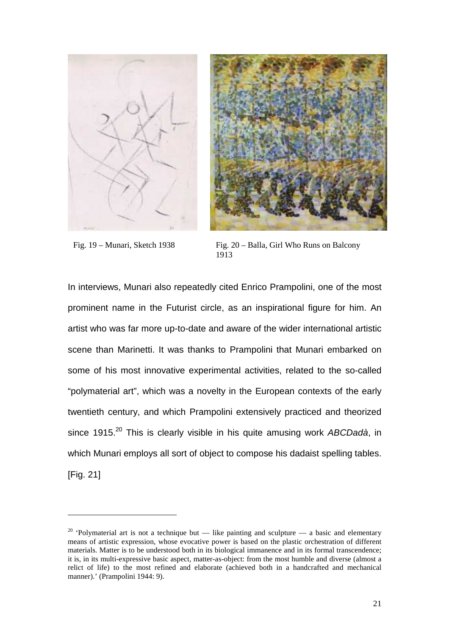



 $\overline{a}$ 

Fig. 19 – Munari, Sketch 1938 Fig. 20 – Balla, Girl Who Runs on Balcony 1913

In interviews, Munari also repeatedly cited Enrico Prampolini, one of the most prominent name in the Futurist circle, as an inspirational figure for him. An artist who was far more up-to-date and aware of the wider international artistic scene than Marinetti. It was thanks to Prampolini that Munari embarked on some of his most innovative experimental activities, related to the so-called "polymaterial art", which was a novelty in the European contexts of the early twentieth century, and which Prampolini extensively practiced and theorized since 1915. $^{20}$  This is clearly visible in his quite amusing work ABCDadà, in which Munari employs all sort of object to compose his dadaist spelling tables. [Fig. 21]

<sup>&</sup>lt;sup>20</sup> 'Polymaterial art is not a technique but — like painting and sculpture — a basic and elementary means of artistic expression, whose evocative power is based on the plastic orchestration of different materials. Matter is to be understood both in its biological immanence and in its formal transcendence; it is, in its multi-expressive basic aspect, matter-as-object: from the most humble and diverse (almost a relict of life) to the most refined and elaborate (achieved both in a handcrafted and mechanical manner).' (Prampolini 1944: 9).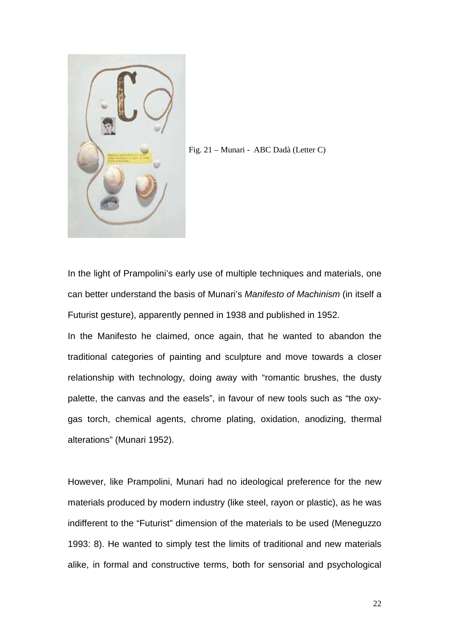

Fig. 21 – Munari - ABC Dadà (Letter C)

In the light of Prampolini's early use of multiple techniques and materials, one can better understand the basis of Munari's Manifesto of Machinism (in itself a Futurist gesture), apparently penned in 1938 and published in 1952.

In the Manifesto he claimed, once again, that he wanted to abandon the traditional categories of painting and sculpture and move towards a closer relationship with technology, doing away with "romantic brushes, the dusty palette, the canvas and the easels", in favour of new tools such as "the oxygas torch, chemical agents, chrome plating, oxidation, anodizing, thermal alterations" (Munari 1952).

However, like Prampolini, Munari had no ideological preference for the new materials produced by modern industry (like steel, rayon or plastic), as he was indifferent to the "Futurist" dimension of the materials to be used (Meneguzzo 1993: 8). He wanted to simply test the limits of traditional and new materials alike, in formal and constructive terms, both for sensorial and psychological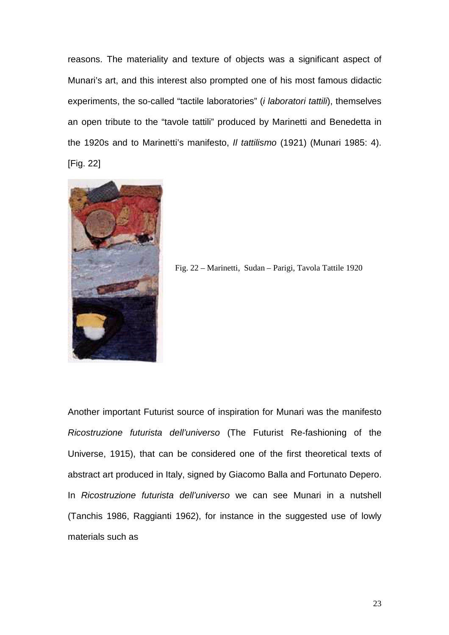reasons. The materiality and texture of objects was a significant aspect of Munari's art, and this interest also prompted one of his most famous didactic experiments, the so-called "tactile laboratories" (i laboratori tattili), themselves an open tribute to the "tavole tattili" produced by Marinetti and Benedetta in the 1920s and to Marinetti's manifesto, Il tattilismo (1921) (Munari 1985: 4). [Fig. 22]



Fig. 22 – Marinetti, Sudan – Parigi, Tavola Tattile 1920

Another important Futurist source of inspiration for Munari was the manifesto Ricostruzione futurista dell'universo (The Futurist Re-fashioning of the Universe, 1915), that can be considered one of the first theoretical texts of abstract art produced in Italy, signed by Giacomo Balla and Fortunato Depero. In Ricostruzione futurista dell'universo we can see Munari in a nutshell (Tanchis 1986, Raggianti 1962), for instance in the suggested use of lowly materials such as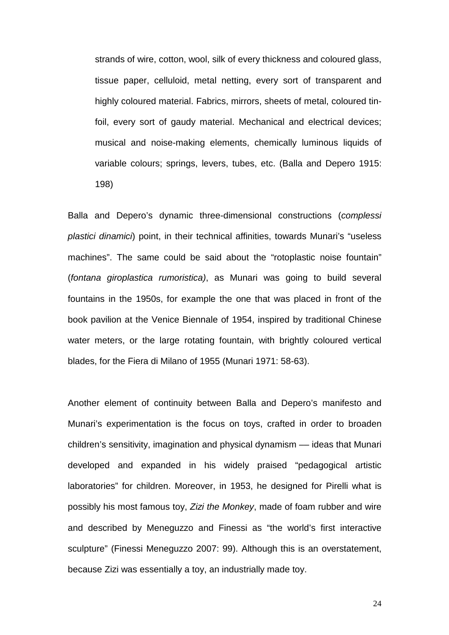strands of wire, cotton, wool, silk of every thickness and coloured glass, tissue paper, celluloid, metal netting, every sort of transparent and highly coloured material. Fabrics, mirrors, sheets of metal, coloured tinfoil, every sort of gaudy material. Mechanical and electrical devices; musical and noise-making elements, chemically luminous liquids of variable colours; springs, levers, tubes, etc. (Balla and Depero 1915: 198)

Balla and Depero's dynamic three-dimensional constructions (complessi plastici dinamici) point, in their technical affinities, towards Munari's "useless machines". The same could be said about the "rotoplastic noise fountain" (fontana giroplastica rumoristica), as Munari was going to build several fountains in the 1950s, for example the one that was placed in front of the book pavilion at the Venice Biennale of 1954, inspired by traditional Chinese water meters, or the large rotating fountain, with brightly coloured vertical blades, for the Fiera di Milano of 1955 (Munari 1971: 58-63).

Another element of continuity between Balla and Depero's manifesto and Munari's experimentation is the focus on toys, crafted in order to broaden children's sensitivity, imagination and physical dynamism –– ideas that Munari developed and expanded in his widely praised "pedagogical artistic laboratories" for children. Moreover, in 1953, he designed for Pirelli what is possibly his most famous toy, Zizi the Monkey, made of foam rubber and wire and described by Meneguzzo and Finessi as "the world's first interactive sculpture" (Finessi Meneguzzo 2007: 99). Although this is an overstatement, because Zizi was essentially a toy, an industrially made toy.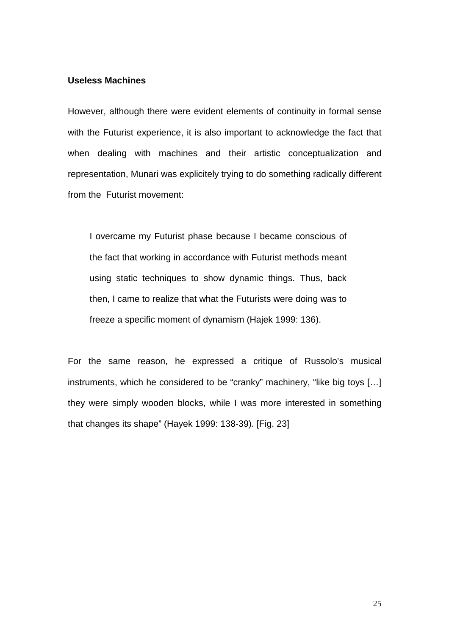## **Useless Machines**

However, although there were evident elements of continuity in formal sense with the Futurist experience, it is also important to acknowledge the fact that when dealing with machines and their artistic conceptualization and representation, Munari was explicitely trying to do something radically different from the Futurist movement:

I overcame my Futurist phase because I became conscious of the fact that working in accordance with Futurist methods meant using static techniques to show dynamic things. Thus, back then, I came to realize that what the Futurists were doing was to freeze a specific moment of dynamism (Hajek 1999: 136).

For the same reason, he expressed a critique of Russolo's musical instruments, which he considered to be "cranky" machinery, "like big toys [...] they were simply wooden blocks, while I was more interested in something that changes its shape" (Hayek 1999: 138-39). [Fig. 23]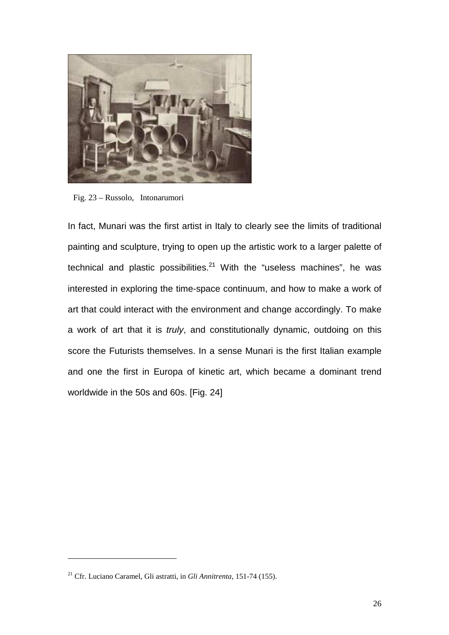

Fig. 23 – Russolo, Intonarumori

In fact, Munari was the first artist in Italy to clearly see the limits of traditional painting and sculpture, trying to open up the artistic work to a larger palette of technical and plastic possibilities. $21$  With the "useless machines", he was interested in exploring the time-space continuum, and how to make a work of art that could interact with the environment and change accordingly. To make a work of art that it is *truly*, and constitutionally dynamic, outdoing on this score the Futurists themselves. In a sense Munari is the first Italian example and one the first in Europa of kinetic art, which became a dominant trend worldwide in the 50s and 60s. [Fig. 24]

<sup>21</sup> Cfr. Luciano Caramel, Gli astratti, in *Gli Annitrenta*, 151-74 (155).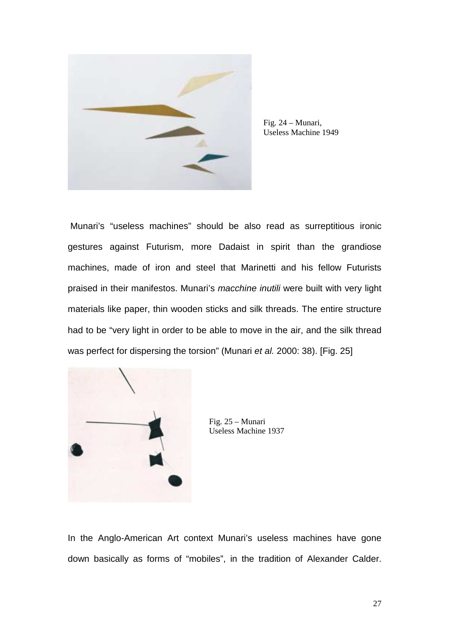

Fig. 24 – Munari, Useless Machine 1949

 Munari's "useless machines" should be also read as surreptitious ironic gestures against Futurism, more Dadaist in spirit than the grandiose machines, made of iron and steel that Marinetti and his fellow Futurists praised in their manifestos. Munari's macchine inutili were built with very light materials like paper, thin wooden sticks and silk threads. The entire structure had to be "very light in order to be able to move in the air, and the silk thread was perfect for dispersing the torsion" (Munari et al. 2000: 38). [Fig. 25]



Fig. 25 – Munari Useless Machine 1937

In the Anglo-American Art context Munari's useless machines have gone down basically as forms of "mobiles", in the tradition of Alexander Calder.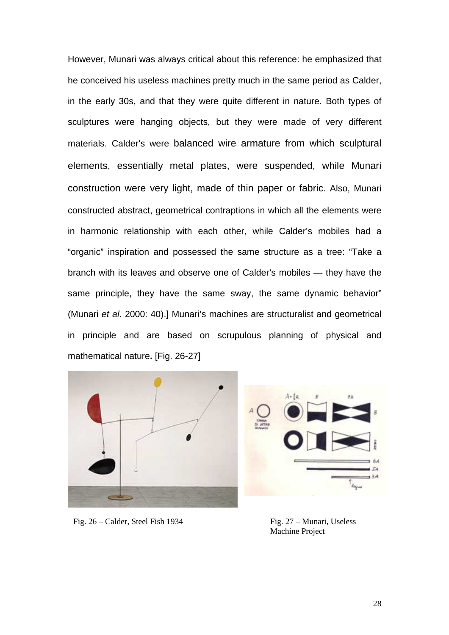However, Munari was always critical about this reference: he emphasized that he conceived his useless machines pretty much in the same period as Calder, in the early 30s, and that they were quite different in nature. Both types of sculptures were hanging objects, but they were made of very different materials. Calder's were balanced wire armature from which sculptural elements, essentially metal plates, were suspended, while Munari construction were very light, made of thin paper or fabric. Also, Munari constructed abstract, geometrical contraptions in which all the elements were in harmonic relationship with each other, while Calder's mobiles had a "organic" inspiration and possessed the same structure as a tree: "Take a branch with its leaves and observe one of Calder's mobiles — they have the same principle, they have the same sway, the same dynamic behavior" (Munari et al. 2000: 40).] Munari's machines are structuralist and geometrical in principle and are based on scrupulous planning of physical and mathematical nature**.** [Fig. 26-27]





Fig. 26 – Calder, Steel Fish 1934 Fig. 27 – Munari, Useless

Machine Project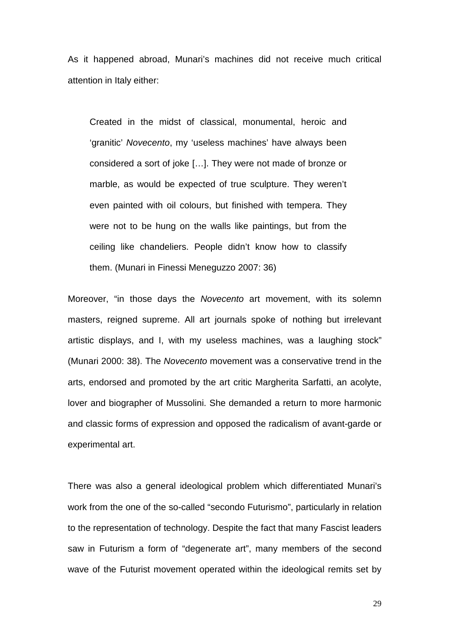As it happened abroad, Munari's machines did not receive much critical attention in Italy either:

Created in the midst of classical, monumental, heroic and 'granitic' Novecento, my 'useless machines' have always been considered a sort of joke […]. They were not made of bronze or marble, as would be expected of true sculpture. They weren't even painted with oil colours, but finished with tempera. They were not to be hung on the walls like paintings, but from the ceiling like chandeliers. People didn't know how to classify them. (Munari in Finessi Meneguzzo 2007: 36)

Moreover, "in those days the Novecento art movement, with its solemn masters, reigned supreme. All art journals spoke of nothing but irrelevant artistic displays, and I, with my useless machines, was a laughing stock" (Munari 2000: 38). The Novecento movement was a conservative trend in the arts, endorsed and promoted by the art critic Margherita Sarfatti, an acolyte, lover and biographer of Mussolini. She demanded a return to more harmonic and classic forms of expression and opposed the radicalism of avant-garde or experimental art.

There was also a general ideological problem which differentiated Munari's work from the one of the so-called "secondo Futurismo", particularly in relation to the representation of technology. Despite the fact that many Fascist leaders saw in Futurism a form of "degenerate art", many members of the second wave of the Futurist movement operated within the ideological remits set by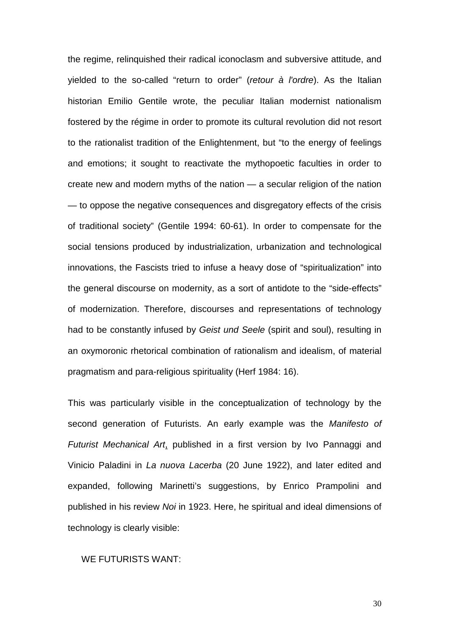the regime, relinquished their radical iconoclasm and subversive attitude, and yielded to the so-called "return to order" (retour à l'ordre). As the Italian historian Emilio Gentile wrote, the peculiar Italian modernist nationalism fostered by the régime in order to promote its cultural revolution did not resort to the rationalist tradition of the Enlightenment, but "to the energy of feelings and emotions; it sought to reactivate the mythopoetic faculties in order to create new and modern myths of the nation — a secular religion of the nation — to oppose the negative consequences and disgregatory effects of the crisis of traditional society" (Gentile 1994: 60-61). In order to compensate for the social tensions produced by industrialization, urbanization and technological innovations, the Fascists tried to infuse a heavy dose of "spiritualization" into the general discourse on modernity, as a sort of antidote to the "side-effects" of modernization. Therefore, discourses and representations of technology had to be constantly infused by Geist und Seele (spirit and soul), resulting in an oxymoronic rhetorical combination of rationalism and idealism, of material pragmatism and para-religious spirituality (Herf 1984: 16).

This was particularly visible in the conceptualization of technology by the second generation of Futurists. An early example was the Manifesto of Futurist Mechanical Art, published in a first version by Ivo Pannaggi and Vinicio Paladini in La nuova Lacerba (20 June 1922), and later edited and expanded, following Marinetti's suggestions, by Enrico Prampolini and published in his review Noi in 1923. Here, he spiritual and ideal dimensions of technology is clearly visible:

#### WE FUTURISTS WANT: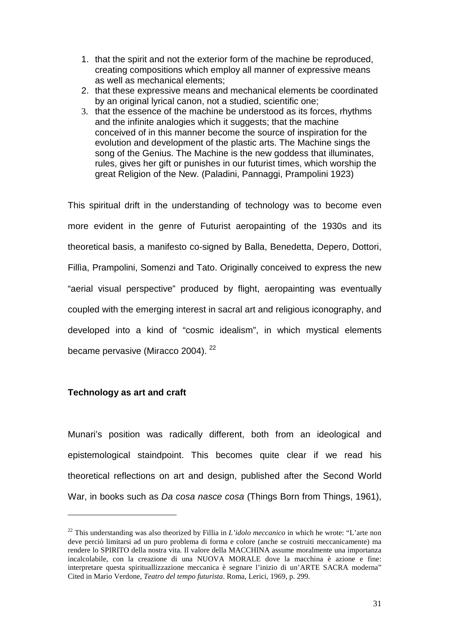- 1. that the spirit and not the exterior form of the machine be reproduced, creating compositions which employ all manner of expressive means as well as mechanical elements;
- 2. that these expressive means and mechanical elements be coordinated by an original lyrical canon, not a studied, scientific one;
- 3. that the essence of the machine be understood as its forces, rhythms and the infinite analogies which it suggests; that the machine conceived of in this manner become the source of inspiration for the evolution and development of the plastic arts. The Machine sings the song of the Genius. The Machine is the new goddess that illuminates, rules, gives her gift or punishes in our futurist times, which worship the great Religion of the New. (Paladini, Pannaggi, Prampolini 1923)

This spiritual drift in the understanding of technology was to become even more evident in the genre of Futurist aeropainting of the 1930s and its theoretical basis, a manifesto co-signed by Balla, Benedetta, Depero, Dottori, Fillìa, Prampolini, Somenzi and Tato. Originally conceived to express the new "aerial visual perspective" produced by flight, aeropainting was eventually coupled with the emerging interest in sacral art and religious iconography, and developed into a kind of "cosmic idealism", in which mystical elements became pervasive (Miracco 2004).  $^{22}$ 

# **Technology as art and craft**

 $\overline{a}$ 

Munari's position was radically different, both from an ideological and epistemological staindpoint. This becomes quite clear if we read his theoretical reflections on art and design, published after the Second World War, in books such as Da cosa nasce cosa (Things Born from Things, 1961),

<sup>22</sup> This understanding was also theorized by Fillia in *L'idolo meccanico* in which he wrote: "L'arte non deve perciò limitarsi ad un puro problema di forma e colore (anche se costruiti meccanicamente) ma rendere lo SPIRITO della nostra vita. Il valore della MACCHINA assume moralmente una importanza incalcolabile, con la creazione di una NUOVA MORALE dove la macchina è azione e fine: interpretare questa spirituallizzazione meccanica è segnare l'inizio di un'ARTE SACRA moderna" Cited in Mario Verdone, *Teatro del tempo futurista*. Roma, Lerici, 1969, p. 299.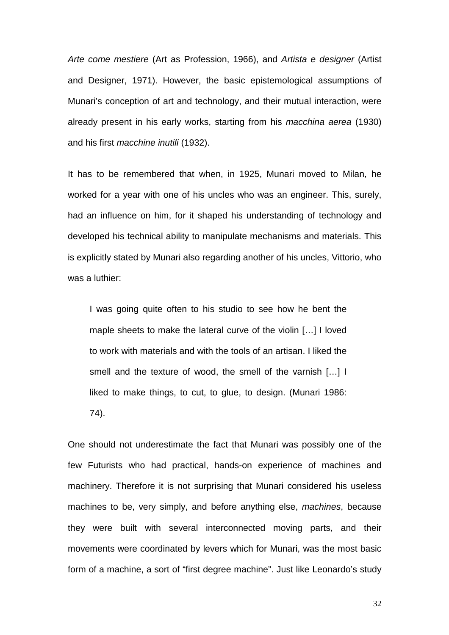Arte come mestiere (Art as Profession, 1966), and Artista e designer (Artist and Designer, 1971). However, the basic epistemological assumptions of Munari's conception of art and technology, and their mutual interaction, were already present in his early works, starting from his macchina aerea (1930) and his first macchine inutili (1932).

It has to be remembered that when, in 1925, Munari moved to Milan, he worked for a year with one of his uncles who was an engineer. This, surely, had an influence on him, for it shaped his understanding of technology and developed his technical ability to manipulate mechanisms and materials. This is explicitly stated by Munari also regarding another of his uncles, Vittorio, who was a luthier:

I was going quite often to his studio to see how he bent the maple sheets to make the lateral curve of the violin […] I loved to work with materials and with the tools of an artisan. I liked the smell and the texture of wood, the smell of the varnish […] I liked to make things, to cut, to glue, to design. (Munari 1986: 74).

One should not underestimate the fact that Munari was possibly one of the few Futurists who had practical, hands-on experience of machines and machinery. Therefore it is not surprising that Munari considered his useless machines to be, very simply, and before anything else, machines, because they were built with several interconnected moving parts, and their movements were coordinated by levers which for Munari, was the most basic form of a machine, a sort of "first degree machine". Just like Leonardo's study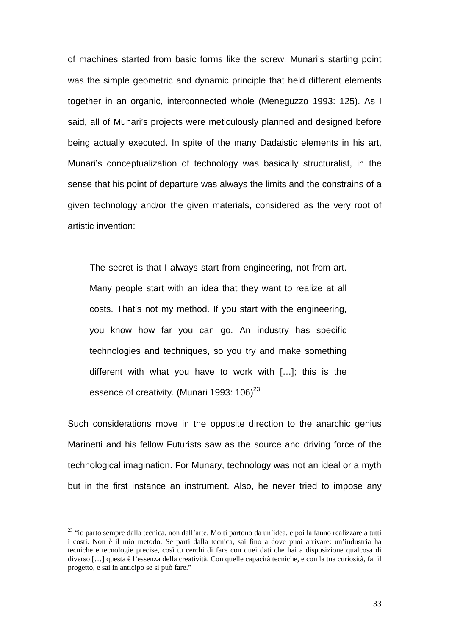of machines started from basic forms like the screw, Munari's starting point was the simple geometric and dynamic principle that held different elements together in an organic, interconnected whole (Meneguzzo 1993: 125). As I said, all of Munari's projects were meticulously planned and designed before being actually executed. In spite of the many Dadaistic elements in his art, Munari's conceptualization of technology was basically structuralist, in the sense that his point of departure was always the limits and the constrains of a given technology and/or the given materials, considered as the very root of artistic invention:

The secret is that I always start from engineering, not from art. Many people start with an idea that they want to realize at all costs. That's not my method. If you start with the engineering, you know how far you can go. An industry has specific technologies and techniques, so you try and make something different with what you have to work with […]; this is the essence of creativity. (Munari 1993: 106)<sup>23</sup>

Such considerations move in the opposite direction to the anarchic genius Marinetti and his fellow Futurists saw as the source and driving force of the technological imagination. For Munary, technology was not an ideal or a myth but in the first instance an instrument. Also, he never tried to impose any

<sup>23</sup> "io parto sempre dalla tecnica, non dall'arte. Molti partono da un'idea, e poi la fanno realizzare a tutti i costi. Non è il mio metodo. Se parti dalla tecnica, sai fino a dove puoi arrivare: un'industria ha tecniche e tecnologie precise, così tu cerchi di fare con quei dati che hai a disposizione qualcosa di diverso […] questa è l'essenza della creatività. Con quelle capacità tecniche, e con la tua curiosità, fai il progetto, e sai in anticipo se si può fare."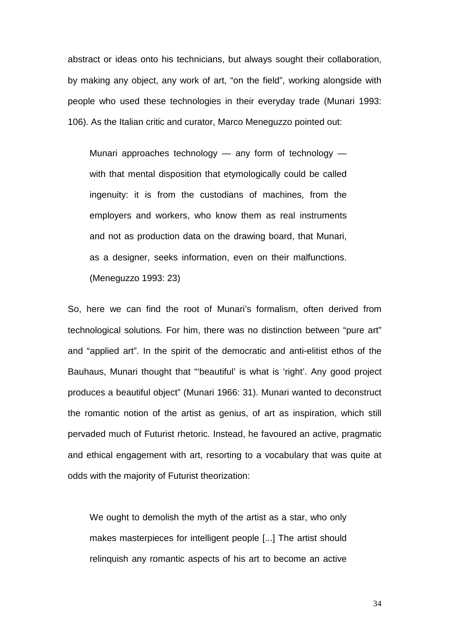abstract or ideas onto his technicians, but always sought their collaboration, by making any object, any work of art, "on the field", working alongside with people who used these technologies in their everyday trade (Munari 1993: 106). As the Italian critic and curator, Marco Meneguzzo pointed out:

Munari approaches technology  $-$  any form of technology  $$ with that mental disposition that etymologically could be called ingenuity: it is from the custodians of machines, from the employers and workers, who know them as real instruments and not as production data on the drawing board, that Munari, as a designer, seeks information, even on their malfunctions. (Meneguzzo 1993: 23)

So, here we can find the root of Munari's formalism, often derived from technological solutions. For him, there was no distinction between "pure art" and "applied art". In the spirit of the democratic and anti-elitist ethos of the Bauhaus, Munari thought that "'beautiful' is what is 'right'. Any good project produces a beautiful object" (Munari 1966: 31). Munari wanted to deconstruct the romantic notion of the artist as genius, of art as inspiration, which still pervaded much of Futurist rhetoric. Instead, he favoured an active, pragmatic and ethical engagement with art, resorting to a vocabulary that was quite at odds with the majority of Futurist theorization:

We ought to demolish the myth of the artist as a star, who only makes masterpieces for intelligent people [...] The artist should relinquish any romantic aspects of his art to become an active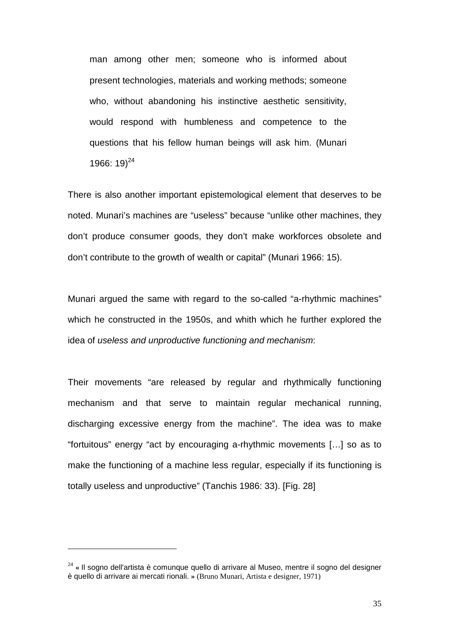man among other men; someone who is informed about present technologies, materials and working methods; someone who, without abandoning his instinctive aesthetic sensitivity, would respond with humbleness and competence to the questions that his fellow human beings will ask him. (Munari 1966:  $19^{24}$ 

There is also another important epistemological element that deserves to be noted. Munari's machines are "useless" because "unlike other machines, they don't produce consumer goods, they don't make workforces obsolete and don't contribute to the growth of wealth or capital" (Munari 1966: 15).

Munari argued the same with regard to the so-called "a-rhythmic machines" which he constructed in the 1950s, and whith which he further explored the idea of useless and unproductive functioning and mechanism:

Their movements "are released by regular and rhythmically functioning mechanism and that serve to maintain regular mechanical running, discharging excessive energy from the machine". The idea was to make "fortuitous" energy "act by encouraging a-rhythmic movements […] so as to make the functioning of a machine less regular, especially if its functioning is totally useless and unproductive" (Tanchis 1986: 33). [Fig. 28]

<sup>24</sup> **«** Il sogno dell'artista è comunque quello di arrivare al Museo, mentre il sogno del designer è quello di arrivare ai mercati rionali. **»** (Bruno Munari, Artista e designer, 1971)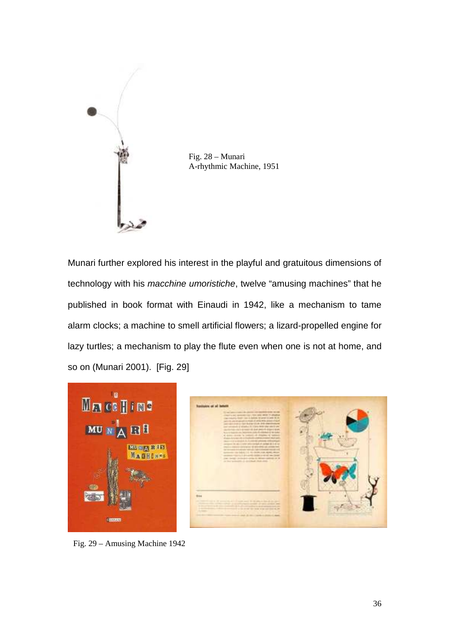

Fig. 28 – Munari A-rhythmic Machine, 1951

Munari further explored his interest in the playful and gratuitous dimensions of technology with his macchine umoristiche, twelve "amusing machines" that he published in book format with Einaudi in 1942, like a mechanism to tame alarm clocks; a machine to smell artificial flowers; a lizard-propelled engine for lazy turtles; a mechanism to play the flute even when one is not at home, and so on (Munari 2001). [Fig. 29]



Fig. 29 – Amusing Machine 1942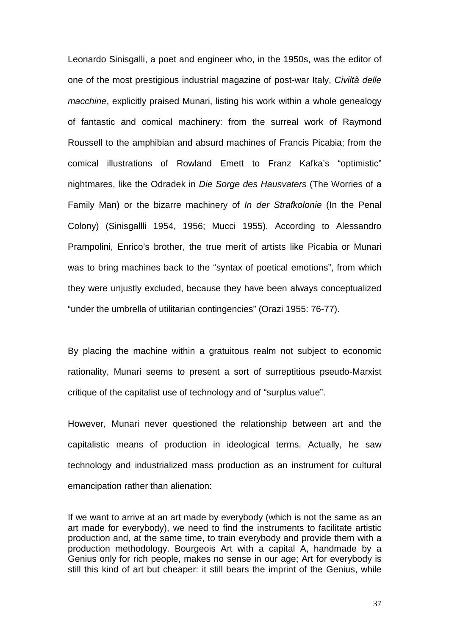Leonardo Sinisgalli, a poet and engineer who, in the 1950s, was the editor of one of the most prestigious industrial magazine of post-war Italy, Civiltà delle macchine, explicitly praised Munari, listing his work within a whole genealogy of fantastic and comical machinery: from the surreal work of Raymond Roussell to the amphibian and absurd machines of Francis Picabia; from the comical illustrations of Rowland Emett to Franz Kafka's "optimistic" nightmares, like the Odradek in Die Sorge des Hausvaters (The Worries of a Family Man) or the bizarre machinery of *In der Strafkolonie* (In the Penal Colony) (Sinisgallli 1954, 1956; Mucci 1955). According to Alessandro Prampolini, Enrico's brother, the true merit of artists like Picabia or Munari was to bring machines back to the "syntax of poetical emotions", from which they were unjustly excluded, because they have been always conceptualized "under the umbrella of utilitarian contingencies" (Orazi 1955: 76-77).

By placing the machine within a gratuitous realm not subject to economic rationality, Munari seems to present a sort of surreptitious pseudo-Marxist critique of the capitalist use of technology and of "surplus value".

However, Munari never questioned the relationship between art and the capitalistic means of production in ideological terms. Actually, he saw technology and industrialized mass production as an instrument for cultural emancipation rather than alienation:

If we want to arrive at an art made by everybody (which is not the same as an art made for everybody), we need to find the instruments to facilitate artistic production and, at the same time, to train everybody and provide them with a production methodology. Bourgeois Art with a capital A, handmade by a Genius only for rich people, makes no sense in our age; Art for everybody is still this kind of art but cheaper: it still bears the imprint of the Genius, while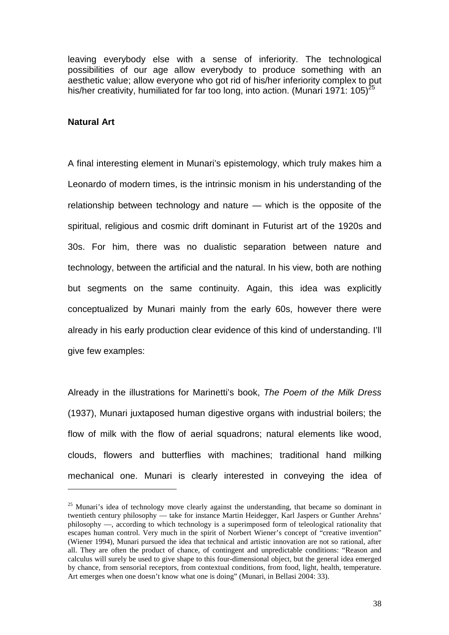leaving everybody else with a sense of inferiority. The technological possibilities of our age allow everybody to produce something with an aesthetic value; allow everyone who got rid of his/her inferiority complex to put his/her creativity, humiliated for far too long, into action. (Munari 1971:  $105)^{25}$ 

## **Natural Art**

 $\overline{a}$ 

A final interesting element in Munari's epistemology, which truly makes him a Leonardo of modern times, is the intrinsic monism in his understanding of the relationship between technology and nature — which is the opposite of the spiritual, religious and cosmic drift dominant in Futurist art of the 1920s and 30s. For him, there was no dualistic separation between nature and technology, between the artificial and the natural. In his view, both are nothing but segments on the same continuity. Again, this idea was explicitly conceptualized by Munari mainly from the early 60s, however there were already in his early production clear evidence of this kind of understanding. I'll give few examples:

Already in the illustrations for Marinetti's book, The Poem of the Milk Dress (1937), Munari juxtaposed human digestive organs with industrial boilers; the flow of milk with the flow of aerial squadrons; natural elements like wood, clouds, flowers and butterflies with machines; traditional hand milking mechanical one. Munari is clearly interested in conveying the idea of

 $25$  Munari's idea of technology move clearly against the understanding, that became so dominant in twentieth century philosophy –– take for instance Martin Heidegger, Karl Jaspers or Gunther Arehns' philosophy ––, according to which technology is a superimposed form of teleological rationality that escapes human control. Very much in the spirit of Norbert Wiener's concept of "creative invention" (Wiener 1994), Munari pursued the idea that technical and artistic innovation are not so rational, after all. They are often the product of chance, of contingent and unpredictable conditions: "Reason and calculus will surely be used to give shape to this four-dimensional object, but the general idea emerged by chance, from sensorial receptors, from contextual conditions, from food, light, health, temperature. Art emerges when one doesn't know what one is doing" (Munari, in Bellasi 2004: 33).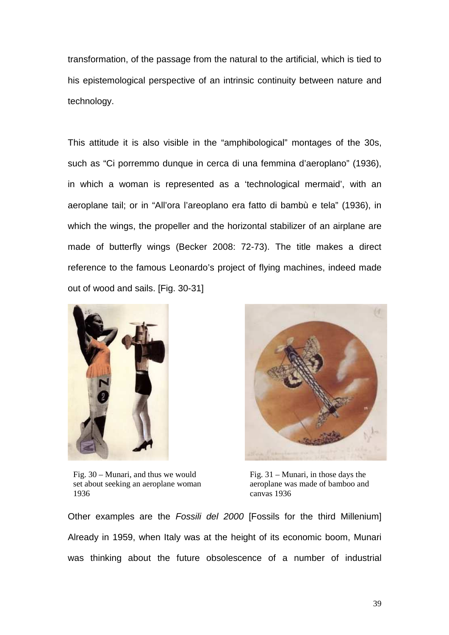transformation, of the passage from the natural to the artificial, which is tied to his epistemological perspective of an intrinsic continuity between nature and technology.

This attitude it is also visible in the "amphibological" montages of the 30s, such as "Ci porremmo dunque in cerca di una femmina d'aeroplano" (1936), in which a woman is represented as a 'technological mermaid', with an aeroplane tail; or in "All'ora l'areoplano era fatto di bambù e tela" (1936), in which the wings, the propeller and the horizontal stabilizer of an airplane are made of butterfly wings (Becker 2008: 72-73). The title makes a direct reference to the famous Leonardo's project of flying machines, indeed made out of wood and sails. [Fig. 30-31]



Fig. 30 – Munari, and thus we would set about seeking an aeroplane woman 1936



Fig. 31 – Munari, in those days the aeroplane was made of bamboo and canvas 1936

Other examples are the Fossili del 2000 [Fossils for the third Millenium] Already in 1959, when Italy was at the height of its economic boom, Munari was thinking about the future obsolescence of a number of industrial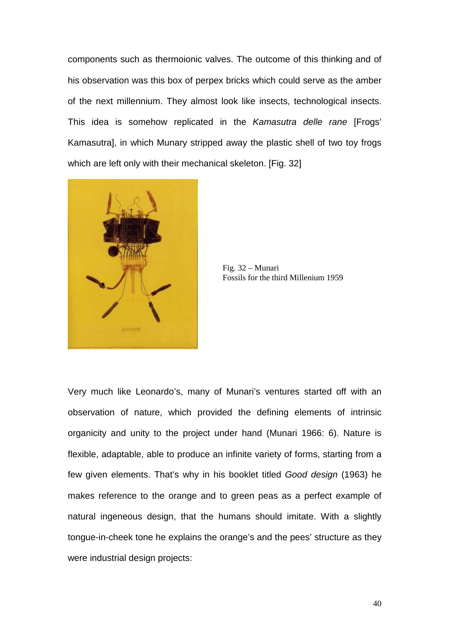components such as thermoionic valves. The outcome of this thinking and of his observation was this box of perpex bricks which could serve as the amber of the next millennium. They almost look like insects, technological insects. This idea is somehow replicated in the Kamasutra delle rane [Frogs' Kamasutra], in which Munary stripped away the plastic shell of two toy frogs which are left only with their mechanical skeleton. [Fig. 32]



Fig. 32 – Munari Fossils for the third Millenium 1959

Very much like Leonardo's, many of Munari's ventures started off with an observation of nature, which provided the defining elements of intrinsic organicity and unity to the project under hand (Munari 1966: 6). Nature is flexible, adaptable, able to produce an infinite variety of forms, starting from a few given elements. That's why in his booklet titled Good design (1963) he makes reference to the orange and to green peas as a perfect example of natural ingeneous design, that the humans should imitate. With a slightly tongue-in-cheek tone he explains the orange's and the pees' structure as they were industrial design projects: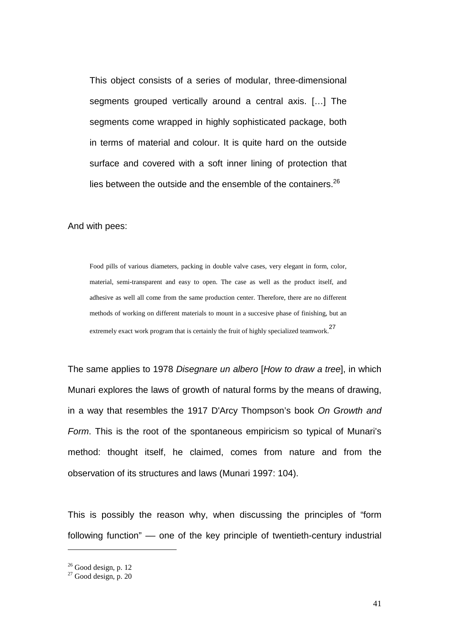This object consists of a series of modular, three-dimensional segments grouped vertically around a central axis. […] The segments come wrapped in highly sophisticated package, both in terms of material and colour. It is quite hard on the outside surface and covered with a soft inner lining of protection that lies between the outside and the ensemble of the containers. $26$ 

#### And with pees:

Food pills of various diameters, packing in double valve cases, very elegant in form, color, material, semi-transparent and easy to open. The case as well as the product itself, and adhesive as well all come from the same production center. Therefore, there are no different methods of working on different materials to mount in a succesive phase of finishing, but an extremely exact work program that is certainly the fruit of highly specialized teamwork.<sup>27</sup>

The same applies to 1978 Disegnare un albero [How to draw a tree], in which Munari explores the laws of growth of natural forms by the means of drawing, in a way that resembles the 1917 D'Arcy Thompson's book On Growth and Form. This is the root of the spontaneous empiricism so typical of Munari's method: thought itself, he claimed, comes from nature and from the observation of its structures and laws (Munari 1997: 104).

This is possibly the reason why, when discussing the principles of "form following function" –– one of the key principle of twentieth-century industrial

 $26$  Good design, p. 12

 $27$  Good design, p. 20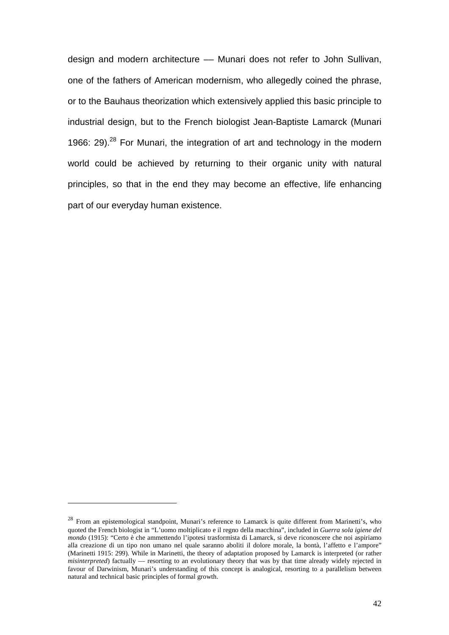design and modern architecture –– Munari does not refer to John Sullivan, one of the fathers of American modernism, who allegedly coined the phrase, or to the Bauhaus theorization which extensively applied this basic principle to industrial design, but to the French biologist Jean-Baptiste Lamarck (Munari 1966: 29).<sup>28</sup> For Munari, the integration of art and technology in the modern world could be achieved by returning to their organic unity with natural principles, so that in the end they may become an effective, life enhancing part of our everyday human existence.

<sup>&</sup>lt;sup>28</sup> From an epistemological standpoint, Munari's reference to Lamarck is quite different from Marinetti's, who quoted the French biologist in "L'uomo moltiplicato e il regno della macchina", included in *Guerra sola igiene del mondo* (1915): "Certo è che ammettendo l'ipotesi trasformista di Lamarck, si deve riconoscere che noi aspiriamo alla creazione di un tipo non umano nel quale saranno aboliti il dolore morale, la bontà, l'affetto e l'ampore" (Marinetti 1915: 299). While in Marinetti, the theory of adaptation proposed by Lamarck is interpreted (or rather *misinterpreted*) factually — resorting to an evolutionary theory that was by that time already widely rejected in favour of Darwinism, Munari's understanding of this concept is analogical, resorting to a parallelism between natural and technical basic principles of formal growth.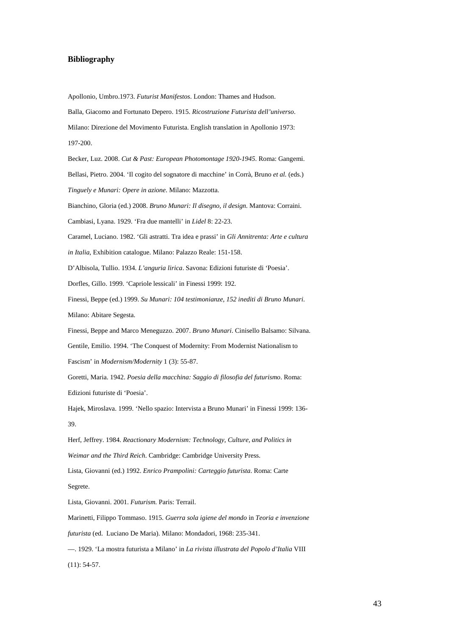#### **Bibliography**

Apollonio, Umbro.1973. *Futurist Manifestos*. London: Thames and Hudson. Balla, Giacomo and Fortunato Depero. 1915. *Ricostruzione Futurista dell'universo*. Milano: Direzione del Movimento Futurista. English translation in Apollonio 1973: 197-200. Becker, Luz. 2008. *Cut & Past: European Photomontage 1920-1945*. Roma: Gangemi. Bellasi, Pietro. 2004. 'Il cogito del sognatore di macchine' in Corrà, Bruno *et al.* (eds.) *Tinguely e Munari: Opere in azione*. Milano: Mazzotta. Bianchino, Gloria (ed.) 2008. *Bruno Munari: Il disegno, il design.* Mantova: Corraini. Cambiasi, Lyana. 1929. 'Fra due mantelli' in *Lidel* 8: 22-23. Caramel, Luciano. 1982. 'Gli astratti. Tra idea e prassi' in *Gli Annitrenta: Arte e cultura in Italia*, Exhibition catalogue. Milano: Palazzo Reale: 151-158. D'Albisola, Tullio. 1934. *L'anguria lirica*. Savona: Edizioni futuriste di 'Poesia'. Dorfles, Gillo. 1999. 'Capriole lessicali' in Finessi 1999: 192. Finessi, Beppe (ed.) 1999. *Su Munari: 104 testimonianze, 152 inediti di Bruno Munari*. Milano: Abitare Segesta. Finessi, Beppe and Marco Meneguzzo. 2007. *Bruno Munari*. Cinisello Balsamo: Silvana. Gentile, Emilio. 1994. 'The Conquest of Modernity: From Modernist Nationalism to Fascism' in *Modernism/Modernity* 1 (3): 55-87. Goretti, Maria. 1942. *Poesia della macchina: Saggio di filosofia del futurismo*. Roma: Edizioni futuriste di 'Poesia'. Hajek, Miroslava. 1999. 'Nello spazio: Intervista a Bruno Munari' in Finessi 1999: 136- 39. Herf, Jeffrey. 1984. *Reactionary Modernism: Technology, Culture, and Politics in Weimar and the Third Reich*. Cambridge: Cambridge University Press. Lista, Giovanni (ed.) 1992. *Enrico Prampolini: Carteggio futurista*. Roma: Carte Segrete. Lista, Giovanni. 2001. *Futurism.* Paris: Terrail. Marinetti, Filippo Tommaso. 1915. *Guerra sola igiene del mondo* in *Teoria e invenzione futurista* (ed. Luciano De Maria). Milano: Mondadori, 1968: 235-341.

––. 1929. 'La mostra futurista a Milano' in *La rivista illustrata del Popolo d'Italia* VIII (11): 54-57.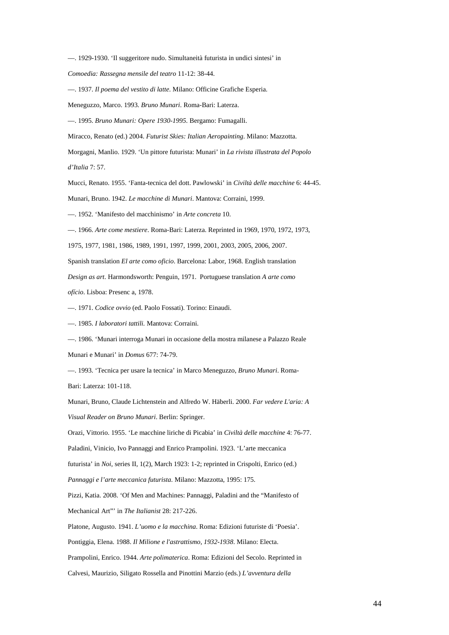––. 1929-1930. 'Il suggeritore nudo. Simultaneità futurista in undici sintesi' in *Comoedia: Rassegna mensile del teatro* 11-12: 38-44.

––. 1937. *Il poema del vestito di latte*. Milano: Officine Grafiche Esperia.

Meneguzzo, Marco. 1993. *Bruno Munari*. Roma-Bari: Laterza.

––. 1995. *Bruno Munari: Opere 1930-1995.* Bergamo: Fumagalli.

Miracco, Renato (ed.) 2004. *Futurist Skies: Italian Aeropainting*. Milano: Mazzotta.

Morgagni, Manlio. 1929. 'Un pittore futurista: Munari' in *La rivista illustrata del Popolo d'Italia* 7: 57.

Mucci, Renato. 1955. 'Fanta-tecnica del dott. Pawlowski' in *Civiltà delle macchine* 6: 44-45.

Munari, Bruno. 1942. *Le macchine di Munari*. Mantova: Corraini, 1999.

––. 1952. 'Manifesto del macchinismo' in *Arte concreta* 10.

––. 1966. *Arte come mestiere*. Roma-Bari: Laterza. Reprinted in 1969, 1970, 1972, 1973,

1975, 1977, 1981, 1986, 1989, 1991, 1997, 1999, 2001, 2003, 2005, 2006, 2007.

Spanish translation *El arte como oficio*. Barcelona: Labor, 1968. English translation

*Design as art*. Harmondsworth: Penguin, 1971. Portuguese translation *A arte como* 

*ofício*. Lisboa: Presenc a, 1978.

––. 1971. *Codice ovvio* (ed. Paolo Fossati). Torino: Einaudi.

––. 1985. *I laboratori tattili.* Mantova: Corraini.

––. 1986. 'Munari interroga Munari in occasione della mostra milanese a Palazzo Reale Munari e Munari' in *Domus* 677: 74-79.

––. 1993. 'Tecnica per usare la tecnica' in Marco Meneguzzo, *Bruno Munari*. Roma-

Bari: Laterza: 101-118.

Munari, Bruno, Claude Lichtenstein and Alfredo W. Häberli. 2000. *Far vedere L'aria: A Visual Reader on Bruno Munari*. Berlin: Springer.

Orazi, Vittorio. 1955. 'Le macchine liriche di Picabia' in *Civiltà delle macchine* 4: 76-77.

Paladini, Vinicio, Ivo Pannaggi and Enrico Prampolini. 1923. 'L'arte meccanica

futurista' in *Noi*, series II, 1(2), March 1923: 1-2; reprinted in Crispolti, Enrico (ed.)

*Pannaggi e l'arte meccanica futurista.* Milano: Mazzotta, 1995: 175.

Pizzi, Katia. 2008. 'Of Men and Machines: Pannaggi, Paladini and the "Manifesto of Mechanical Art"' in *The Italianist* 28: 217-226.

Platone, Augusto. 1941. *L'uomo e la macchina*. Roma: Edizioni futuriste di 'Poesia'.

Pontiggia, Elena. 1988. *Il Milione e l'astrattismo, 1932-1938*. Milano: Electa.

Prampolini, Enrico. 1944. *Arte polimaterica*. Roma: Edizioni del Secolo. Reprinted in

Calvesi, Maurizio, Siligato Rossella and Pinottini Marzio (eds.) *L'avventura della*